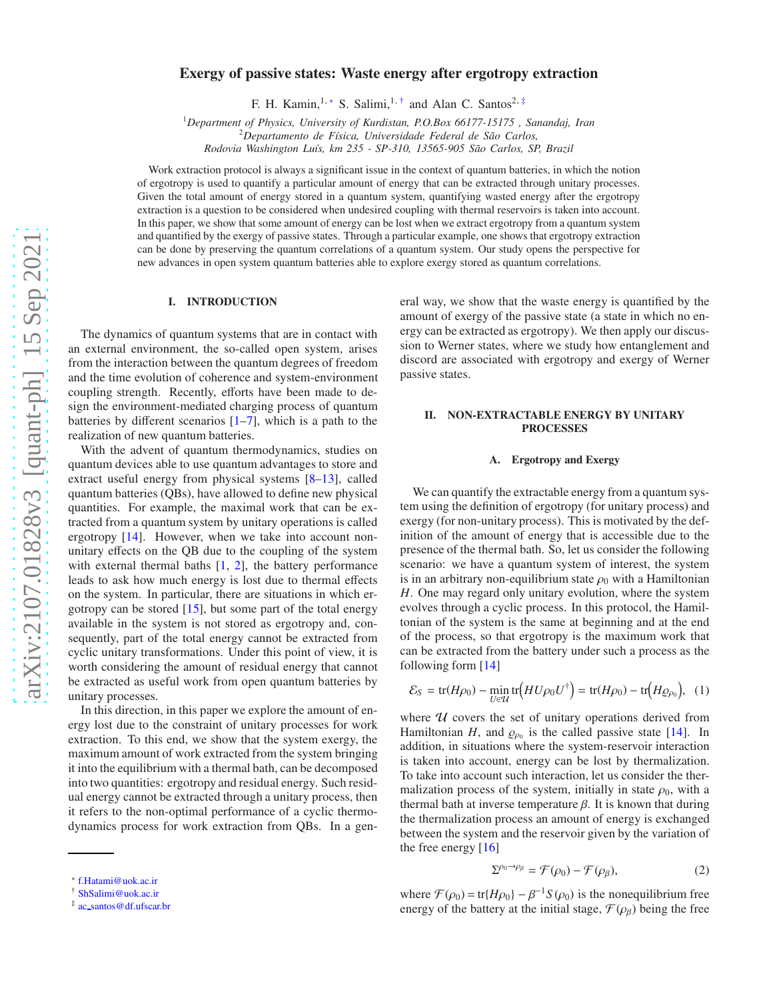# Exergy of passive states: Waste energy after ergotropy extraction

F. H. Kamin,<sup>1,\*</sup> S. Salimi,<sup>1,[†](#page-0-1)</sup> and Alan C. Santos<sup>2,[‡](#page-0-2)</sup>

<sup>1</sup>*Department of Physics, University of Kurdistan, P.O.Box 66177-15175 , Sanandaj, Iran*

<sup>2</sup>*Departamento de F´ısica, Universidade Federal de S˜ao Carlos,*

*Rodovia Washington Lu´ıs, km 235 - SP-310, 13565-905 S˜ao Carlos, SP, Brazil*

Work extraction protocol is always a significant issue in the context of quantum batteries, in which the notion of ergotropy is used to quantify a particular amount of energy that can be extracted through unitary processes. Given the total amount of energy stored in a quantum system, quantifying wasted energy after the ergotropy extraction is a question to be considered when undesired coupling with thermal reservoirs is taken into account. In this paper, we show that some amount of energy can be lost when we extract ergotropy from a quantum system and quantified by the exergy of passive states. Through a particular example, one shows that ergotropy extraction can be done by preserving the quantum correlations of a quantum system. Our study opens the perspective for new advances in open system quantum batteries able to explore exergy stored as quantum correlations.

# I. INTRODUCTION

The dynamics of quantum systems that are in contact with an external environment, the so-called open system, arises from the interaction between the quantum degrees of freedom and the time evolution of coherence and system-environment coupling strength. Recently, efforts have been made to design the environment-mediated charging process of quantum batteries by different scenarios [\[1](#page-4-0)[–7](#page-4-1)], which is a path to the realization of new quantum batteries.

With the advent of quantum thermodynamics, studies on quantum devices able to use quantum advantages to store and extract useful energy from physical systems [\[8](#page-4-2)[–13\]](#page-4-3), called quantum batteries (QBs), have allowed to define new physical quantities. For example, the maximal work that can be extracted from a quantum system by unitary operations is called ergotropy [\[14\]](#page-4-4). However, when we take into account nonunitary effects on the QB due to the coupling of the system with external thermal baths  $[1, 2]$  $[1, 2]$ , the battery performance leads to ask how much energy is lost due to thermal effects on the system. In particular, there are situations in which ergotropy can be stored  $[15]$ , but some part of the total energy available in the system is not stored as ergotropy and, consequently, part of the total energy cannot be extracted from cyclic unitary transformations. Under this point of view, it is worth considering the amount of residual energy that cannot be extracted as useful work from open quantum batteries by unitary processes.

In this direction, in this paper we explore the amount of energy lost due to the constraint of unitary processes for work extraction. To this end, we show that the system exergy, the maximum amount of work extracted from the system bringing it into the equilibrium with a thermal bath, can be decomposed into two quantities: ergotropy and residual energy. Such residual energy cannot be extracted through a unitary process, then it refers to the non-optimal performance of a cyclic thermodynamics process for work extraction from QBs. In a general way, we show that the waste energy is quantified by the amount of exergy of the passive state (a state in which no energy can be extracted as ergotropy). We then apply our discussion to Werner states, where we study how entanglement and discord are associated with ergotropy and exergy of Werner passive states.

# II. NON-EXTRACTABLE ENERGY BY UNITARY PROCESSES

#### A. Ergotropy and Exergy

We can quantify the extractable energy from a quantum system using the definition of ergotropy (for unitary process) and exergy (for non-unitary process). This is motivated by the definition of the amount of energy that is accessible due to the presence of the thermal bath. So, let us consider the following scenario: we have a quantum system of interest, the system is in an arbitrary non-equilibrium state  $\rho_0$  with a Hamiltonian *H*. One may regard only unitary evolution, where the system evolves through a cyclic process. In this protocol, the Hamiltonian of the system is the same at beginning and at the end of the process, so that ergotropy is the maximum work that can be extracted from the battery under such a process as the following form [\[14](#page-4-4)]

$$
\mathcal{E}_S = \text{tr}(H\rho_0) - \min_{U \in \mathcal{U}} \text{tr}\left(HU\rho_0 U^{\dagger}\right) = \text{tr}(H\rho_0) - \text{tr}\left(H\rho_{\rho_0}\right), \quad (1)
$$

where  $U$  covers the set of unitary operations derived from Hamiltonian *H*, and  $\rho_{\rho_0}$  is the called passive state [\[14](#page-4-4)]. In addition, in situations where the system-reservoir interaction is taken into account, energy can be lost by thermalization. To take into account such interaction, let us consider the thermalization process of the system, initially in state  $\rho_0$ , with a thermal bath at inverse temperature  $β$ . It is known that during the thermalization process an amount of energy is exchanged between the system and the reservoir given by the variation of the free energy [\[16\]](#page-4-7)

<span id="page-0-3"></span>
$$
\Sigma^{\rho_0 \to \rho_\beta} = \mathcal{F}(\rho_0) - \mathcal{F}(\rho_\beta),\tag{2}
$$

where  $\mathcal{F}(\rho_0) = \text{tr}\{H\rho_0\} - \beta^{-1}S(\rho_0)$  is the nonequilibrium free energy of the battery at the initial stage,  $\mathcal{F}(\rho_{\beta})$  being the free

<span id="page-0-0"></span><sup>∗</sup> [f.Hatami@uok.ac.ir](mailto:f.Hatami@uok.ac.ir)

<span id="page-0-1"></span><sup>†</sup> [ShSalimi@uok.ac.ir](mailto:ShSalimi@uok.ac.ir)

<span id="page-0-2"></span><sup>‡</sup> ac [santos@df.ufscar.br](mailto:ac_santos@df.ufscar.br)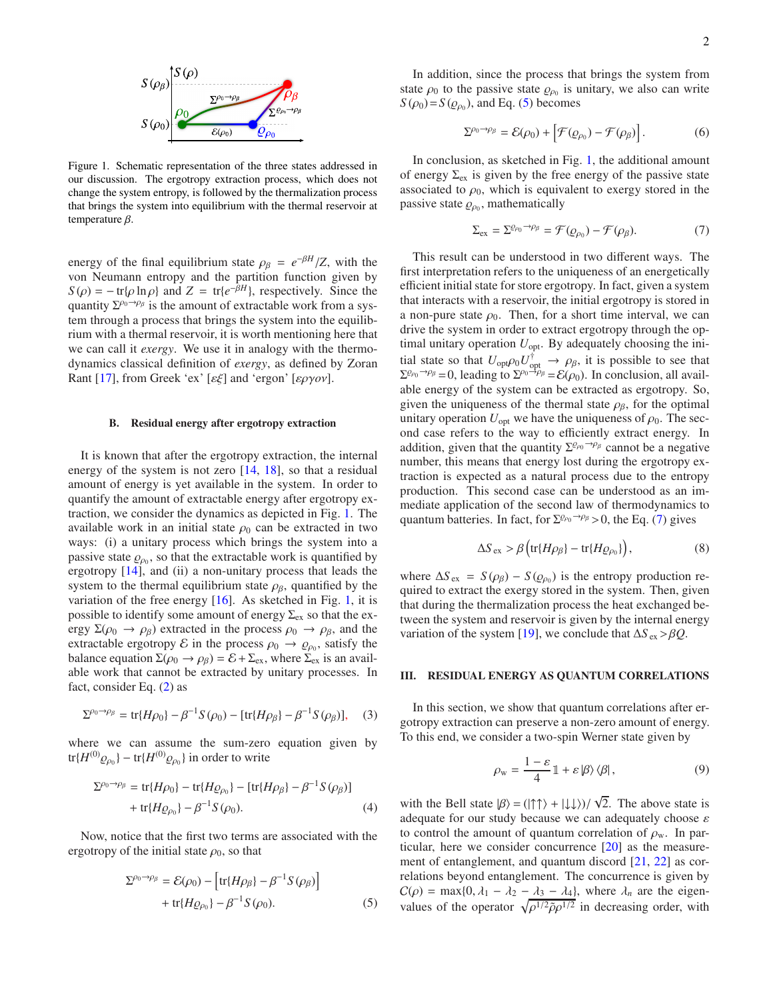

<span id="page-1-0"></span>Figure 1. Schematic representation of the three states addressed in our discussion. The ergotropy extraction process, which does not change the system entropy, is followed by the thermalization process that brings the system into equilibrium with the thermal reservoir at temperature  $β$ .

energy of the final equilibrium state  $\rho_{\beta} = e^{-\beta H}/Z$ , with the von Neumann entropy and the partition function given by  $S(\rho) = -\text{tr}[\rho \ln \rho]$  and  $Z = \text{tr}\{e^{-\beta H}\}\text{, respectively.}$  Since the quantity  $\Sigma^{\rho_0 \to \rho_\beta}$  is the amount of extractable work from a system through a process that brings the system into the equilibrium with a thermal reservoir, it is worth mentioning here that we can call it *exergy*. We use it in analogy with the thermodynamics classical definition of *exergy*, as defined by Zoran Rant [\[17\]](#page-4-8), from Greek 'ex' [εξ] and 'ergon' [εργ*o*ν].

## B. Residual energy after ergotropy extraction

It is known that after the ergotropy extraction, the internal energy of the system is not zero [\[14,](#page-4-4) [18](#page-4-9)], so that a residual amount of energy is yet available in the system. In order to quantify the amount of extractable energy after ergotropy extraction, we consider the dynamics as depicted in Fig. [1.](#page-1-0) The available work in an initial state  $\rho_0$  can be extracted in two ways: (i) a unitary process which brings the system into a passive state  $\varrho_{\rho_0}$ , so that the extractable work is quantified by ergotropy [\[14](#page-4-4)], and (ii) a non-unitary process that leads the system to the thermal equilibrium state  $\rho_{\beta}$ , quantified by the variation of the free energy [\[16\]](#page-4-7). As sketched in Fig. [1,](#page-1-0) it is possible to identify some amount of energy  $\Sigma_{\rm ex}$  so that the exergy  $\Sigma(\rho_0 \to \rho_\beta)$  extracted in the process  $\rho_0 \to \rho_\beta$ , and the extractable ergotropy  $\mathcal E$  in the process  $\rho_0 \to \rho_{\rho_0}$ , satisfy the balance equation  $\Sigma(\rho_0 \to \rho_\beta) = \mathcal{E} + \Sigma_{\text{ex}}$ , where  $\Sigma_{\text{ex}}$  is an available work that cannot be extracted by unitary processes. In fact, consider Eq. [\(2\)](#page-0-3) as

$$
\Sigma^{\rho_0 \to \rho_\beta} = \text{tr}\{H\rho_0\} - \beta^{-1}S(\rho_0) - [\text{tr}\{H\rho_\beta\} - \beta^{-1}S(\rho_\beta)], \quad (3)
$$

where we can assume the sum-zero equation given by tr $\{H^{(0)}\varrho_{\rho_0}\}$  – tr $\{H^{(0)}\varrho_{\rho_0}\}\$  in order to write

$$
\Sigma^{\rho_0 \to \rho_\beta} = \text{tr}\{H\rho_0\} - \text{tr}\{H\varrho_{\rho_0}\} - [\text{tr}\{H\rho_\beta\} - \beta^{-1}S(\rho_\beta)] + \text{tr}\{H\varrho_{\rho_0}\} - \beta^{-1}S(\rho_0).
$$
 (4)

Now, notice that the first two terms are associated with the ergotropy of the initial state  $\rho_0$ , so that

$$
\Sigma^{\rho_0 \to \rho_\beta} = \mathcal{E}(\rho_0) - \left[ \text{tr}\{H\rho_\beta\} - \beta^{-1} S(\rho_\beta) \right] + \text{tr}\{H\rho_{\rho_0}\} - \beta^{-1} S(\rho_0).
$$
 (5)

In addition, since the process that brings the system from state  $\rho_0$  to the passive state  $\rho_{\rho_0}$  is unitary, we also can write  $S(\rho_0) = S(\rho_{\rho_0})$ , and Eq. [\(5\)](#page-1-1) becomes

<span id="page-1-4"></span>
$$
\Sigma^{\rho_0 \to \rho_\beta} = \mathcal{E}(\rho_0) + \left[ \mathcal{F}(\varrho_{\rho_0}) - \mathcal{F}(\rho_\beta) \right]. \tag{6}
$$

In conclusion, as sketched in Fig. [1,](#page-1-0) the additional amount of energy  $\Sigma_{ex}$  is given by the free energy of the passive state associated to  $\rho_0$ , which is equivalent to exergy stored in the passive state  $\varrho_{\rho_0}$ , mathematically

<span id="page-1-2"></span>
$$
\Sigma_{\text{ex}} = \Sigma^{\varrho_{\rho_0} \to \rho_{\beta}} = \mathcal{F}(\varrho_{\rho_0}) - \mathcal{F}(\rho_{\beta}). \tag{7}
$$

This result can be understood in two different ways. The first interpretation refers to the uniqueness of an energetically efficient initial state for store ergotropy. In fact, given a system that interacts with a reservoir, the initial ergotropy is stored in a non-pure state  $\rho_0$ . Then, for a short time interval, we can drive the system in order to extract ergotropy through the optimal unitary operation  $U_{\text{opt}}$ . By adequately choosing the initial state so that  $U_{\text{opt}} \rho_0 U_{\text{opt}}^{\dagger} \to \rho_{\beta}$ , it is possible to see that  $\Sigma^{\rho_0 \to \rho_\beta} = 0$ , leading to  $\Sigma^{\rho_0 \to \rho_\beta} = \mathcal{E}(\rho_0)$ . In conclusion, all available energy of the system can be extracted as ergotropy. So, given the uniqueness of the thermal state  $\rho_{\beta}$ , for the optimal unitary operation  $U_{\text{opt}}$  we have the uniqueness of  $\rho_0$ . The second case refers to the way to efficiently extract energy. In addition, given that the quantity  $\Sigma^{\rho_{\rho_0} \to \rho_\beta}$  cannot be a negative number, this means that energy lost during the ergotropy extraction is expected as a natural process due to the entropy production. This second case can be understood as an immediate application of the second law of thermodynamics to quantum batteries. In fact, for  $\Sigma^{\rho_0 \to \rho_\beta} > 0$ , the Eq. [\(7\)](#page-1-2) gives

$$
\Delta S_{\text{ex}} > \beta \left( \text{tr} \{ H \rho_{\beta} \} - \text{tr} \{ H \varrho_{\rho_0} \} \right),\tag{8}
$$

where  $\Delta S_{\text{ex}} = S(\rho_{\beta}) - S(\rho_{\rho_0})$  is the entropy production required to extract the exergy stored in the system. Then, given that during the thermalization process the heat exchanged between the system and reservoir is given by the internal energy variation of the system [\[19\]](#page-4-10), we conclude that  $\Delta S_{ex} > \beta Q$ .

## III. RESIDUAL ENERGY AS QUANTUM CORRELATIONS

In this section, we show that quantum correlations after ergotropy extraction can preserve a non-zero amount of energy. To this end, we consider a two-spin Werner state given by

<span id="page-1-3"></span>
$$
\rho_{\rm w} = \frac{1-\varepsilon}{4} \mathbb{1} + \varepsilon \left| \beta \right\rangle \left\langle \beta \right|, \tag{9}
$$

<span id="page-1-1"></span>with the Bell state  $|\beta\rangle = (|\uparrow \uparrow\rangle + |\downarrow \downarrow\rangle)/\sqrt{2}$ . The above state is adequate for our study because we can adequately choose  $\varepsilon$ to control the amount of quantum correlation of  $\rho_w$ . In particular, here we consider concurrence [\[20\]](#page-4-11) as the measurement of entanglement, and quantum discord [\[21,](#page-4-12) [22](#page-4-13)] as correlations beyond entanglement. The concurrence is given by  $C(\rho) = \max\{0, \lambda_1 - \lambda_2 - \lambda_3 - \lambda_4\}$ , where  $\lambda_n$  are the eigenvalues of the operator  $\sqrt{\rho^{1/2} \tilde{\rho} \rho^{1/2}}$  in decreasing order, with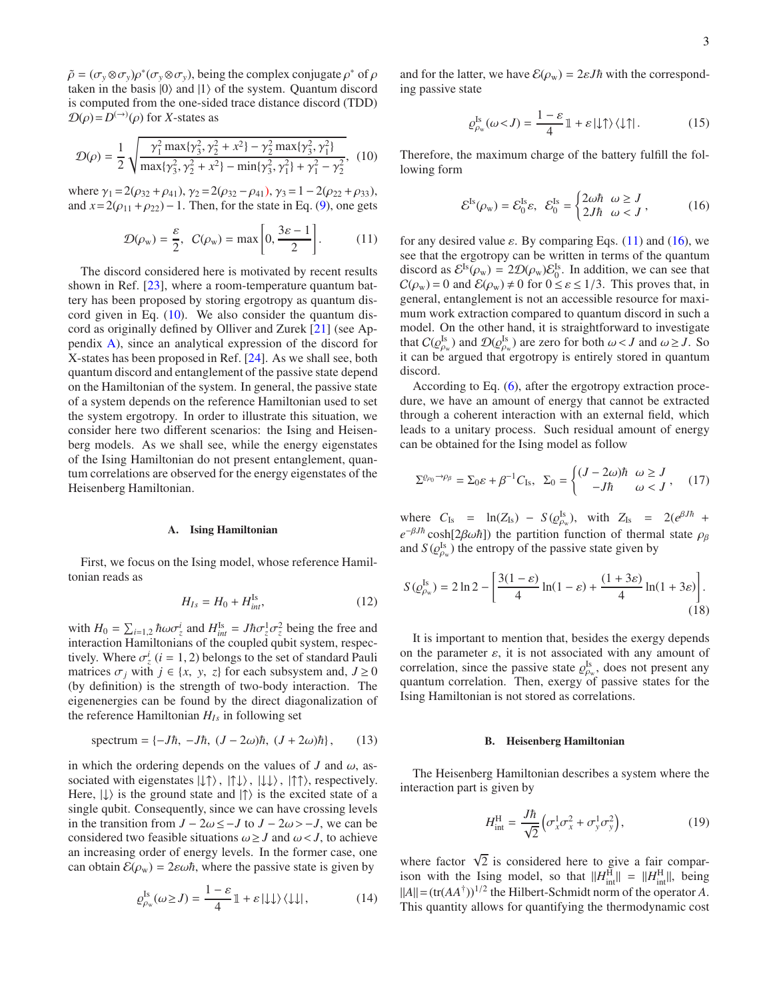$\tilde{\rho} = (\sigma_y \otimes \sigma_y)\rho^*(\sigma_y \otimes \sigma_y)$ , being the complex conjugate  $\rho^*$  of  $\rho$ taken in the basis  $|0\rangle$  and  $|1\rangle$  of the system. Quantum discord is computed from the one-sided trace distance discord (TDD)  $\mathcal{D}(\rho) = D^{(\rightarrow)}(\rho)$  for *X*-states as

$$
\mathcal{D}(\rho) = \frac{1}{2} \sqrt{\frac{\gamma_1^2 \max\{\gamma_3^2, \gamma_2^2 + x^2\} - \gamma_2^2 \max\{\gamma_3^2, \gamma_1^2\}}{\max\{\gamma_3^2, \gamma_2^2 + x^2\} - \min\{\gamma_3^2, \gamma_1^2\} + \gamma_1^2 - \gamma_2^2}},
$$
(10)

where  $\gamma_1 = 2(\rho_{32} + \rho_{41}), \gamma_2 = 2(\rho_{32} - \rho_{41}), \gamma_3 = 1 - 2(\rho_{22} + \rho_{33}),$ and  $x=2(\rho_{11}+\rho_{22})-1$ . Then, for the state in Eq. [\(9\)](#page-1-3), one gets

$$
\mathcal{D}(\rho_{\rm w}) = \frac{\varepsilon}{2}, \ \ C(\rho_{\rm w}) = \max\left[0, \frac{3\varepsilon - 1}{2}\right]. \tag{11}
$$

The discord considered here is motivated by recent results shown in Ref. [\[23\]](#page-4-14), where a room-temperature quantum battery has been proposed by storing ergotropy as quantum discord given in Eq.  $(10)$ . We also consider the quantum discord as originally defined by Olliver and Zurek [\[21\]](#page-4-12) (see Appendix [A\)](#page-4-15), since an analytical expression of the discord for X-states has been proposed in Ref. [\[24\]](#page-4-16). As we shall see, both quantum discord and entanglement of the passive state depend on the Hamiltonian of the system. In general, the passive state of a system depends on the reference Hamiltonian used to set the system ergotropy. In order to illustrate this situation, we consider here two different scenarios: the Ising and Heisenberg models. As we shall see, while the energy eigenstates of the Ising Hamiltonian do not present entanglement, quantum correlations are observed for the energy eigenstates of the Heisenberg Hamiltonian.

## A. Ising Hamiltonian

First, we focus on the Ising model, whose reference Hamiltonian reads as

$$
H_{Is} = H_0 + H_{int}^{\text{Is}},\tag{12}
$$

with  $H_0 = \sum_{i=1,2} \hbar \omega \sigma_z^i$  and  $H_{int}^{\text{Is}} = J \hbar \sigma_z^1 \sigma_z^2$  being the free and interaction Hamiltonians of the coupled qubit system, respectively. Where  $\sigma_z^i$  (*i* = 1, 2) belongs to the set of standard Pauli matrices  $\sigma_j$  with  $j \in \{x, y, z\}$  for each subsystem and,  $J \ge 0$ (by definition) is the strength of two-body interaction. The eigenenergies can be found by the direct diagonalization of the reference Hamiltonian *HIs* in following set

$$
spectrum = \{-J\hbar, -J\hbar, (J - 2\omega)\hbar, (J + 2\omega)\hbar\},\qquad(13)
$$

in which the ordering depends on the values of *J* and  $\omega$ , associated with eigenstates  $|\downarrow \uparrow \rangle$ ,  $|\uparrow \downarrow \rangle$ ,  $|\downarrow \downarrow \rangle$ ,  $|\uparrow \uparrow \rangle$ , respectively. Here,  $|\downarrow\rangle$  is the ground state and  $|\uparrow\rangle$  is the excited state of a single qubit. Consequently, since we can have crossing levels in the transition from *J* − 2ω ≤ − *J* to *J* − 2ω > − *J*, we can be considered two feasible situations  $\omega \geq J$  and  $\omega < J$ , to achieve an increasing order of energy levels. In the former case, one can obtain  $\mathcal{E}(\rho_w) = 2\varepsilon \omega \hbar$ , where the passive state is given by

$$
\varrho_{\rho_{\rm w}}^{\rm Is}(\omega \ge J) = \frac{1 - \varepsilon}{4} \mathbb{1} + \varepsilon \left| \downarrow \downarrow \right\rangle \left\langle \downarrow \downarrow \right|, \tag{14}
$$

and for the latter, we have  $\mathcal{E}(\rho_w) = 2\varepsilon J\hbar$  with the corresponding passive state

$$
\varrho_{\rho_{\rm w}}^{\rm Is}(\omega < J) = \frac{1 - \varepsilon}{4} \mathbb{1} + \varepsilon \left| \downarrow \uparrow \right\rangle \left\langle \downarrow \uparrow \right|.
$$
 (15)

<span id="page-2-0"></span>Therefore, the maximum charge of the battery fulfill the following form

<span id="page-2-2"></span>
$$
\mathcal{E}^{\text{Is}}(\rho_{\text{w}}) = \mathcal{E}_0^{\text{Is}} \varepsilon, \ \ \mathcal{E}_0^{\text{Is}} = \begin{cases} 2\omega\hbar & \omega \ge J \\ 2J\hbar & \omega < J \end{cases}, \tag{16}
$$

<span id="page-2-1"></span>for any desired value  $\varepsilon$ . By comparing Eqs. [\(11\)](#page-2-1) and [\(16\)](#page-2-2), we see that the ergotropy can be written in terms of the quantum discord as  $\mathcal{E}^{\text{Is}}(\rho_w) = 2\mathcal{D}(\rho_w)\mathcal{E}_0^{\text{Is}}$ . In addition, we can see that  $C(\rho_w) = 0$  and  $\mathcal{E}(\rho_w) \neq 0$  for  $0 \leq \varepsilon \leq 1/3$ . This proves that, in general, entanglement is not an accessible resource for maximum work extraction compared to quantum discord in such a model. On the other hand, it is straightforward to investigate that  $C(\mathcal{Q}_{\rho_w}^{\text{Is}})$  and  $\mathcal{D}(\mathcal{Q}_{\rho_w}^{\text{Is}})$  are zero for both  $\omega < J$  and  $\omega \geq J$ . So it can be argued that ergotropy is entirely stored in quantum discord.

According to Eq. [\(6\)](#page-1-4), after the ergotropy extraction procedure, we have an amount of energy that cannot be extracted through a coherent interaction with an external field, which leads to a unitary process. Such residual amount of energy can be obtained for the Ising model as follow

$$
\Sigma^{\varrho_{\rho_0}\to\rho_{\beta}} = \Sigma_0 \varepsilon + \beta^{-1} C_{\text{Is}}, \quad \Sigma_0 = \begin{cases} (J - 2\omega)\hbar & \omega \ge J \\ -J\hbar & \omega < J \end{cases}, \tag{17}
$$

where  $C_{\text{Is}} = \ln(Z_{\text{Is}}) - S(\varrho_{\rho_w}^{\text{Is}})$ , with  $Z_{\text{Is}} = 2(e^{\beta J \hbar} +$  $e^{-\beta J\hbar} \cosh[2\beta \omega \hbar]$ ) the partition function of thermal state  $\rho_{\beta}$ and  $S(\varrho_{\rho_w}^{\text{Is}})$  the entropy of the passive state given by

$$
S(\varrho_{\rho_w}^{\text{Is}}) = 2\ln 2 - \left[\frac{3(1-\varepsilon)}{4}\ln(1-\varepsilon) + \frac{(1+3\varepsilon)}{4}\ln(1+3\varepsilon)\right].\tag{18}
$$

It is important to mention that, besides the exergy depends on the parameter  $\varepsilon$ , it is not associated with any amount of correlation, since the passive state  $\rho_{\rho_w}^{\text{Is}}$ , does not present any quantum correlation. Then, exergy of passive states for the Ising Hamiltonian is not stored as correlations.

## <span id="page-2-3"></span>B. Heisenberg Hamiltonian

The Heisenberg Hamiltonian describes a system where the interaction part is given by

$$
H_{\text{int}}^{\text{H}} = \frac{J\hbar}{\sqrt{2}} \left( \sigma_x^1 \sigma_x^2 + \sigma_y^1 \sigma_y^2 \right),\tag{19}
$$

where factor  $\sqrt{2}$  is considered here to give a fair comparison with the Ising model, so that  $||H_{int}^{H}|| = ||H_{int}^{H}||$ , being  $||A|| = (\text{tr}(AA^{\dagger}))^{1/2}$  the Hilbert-Schmidt norm of the operator *A*. This quantity allows for quantifying the thermodynamic cost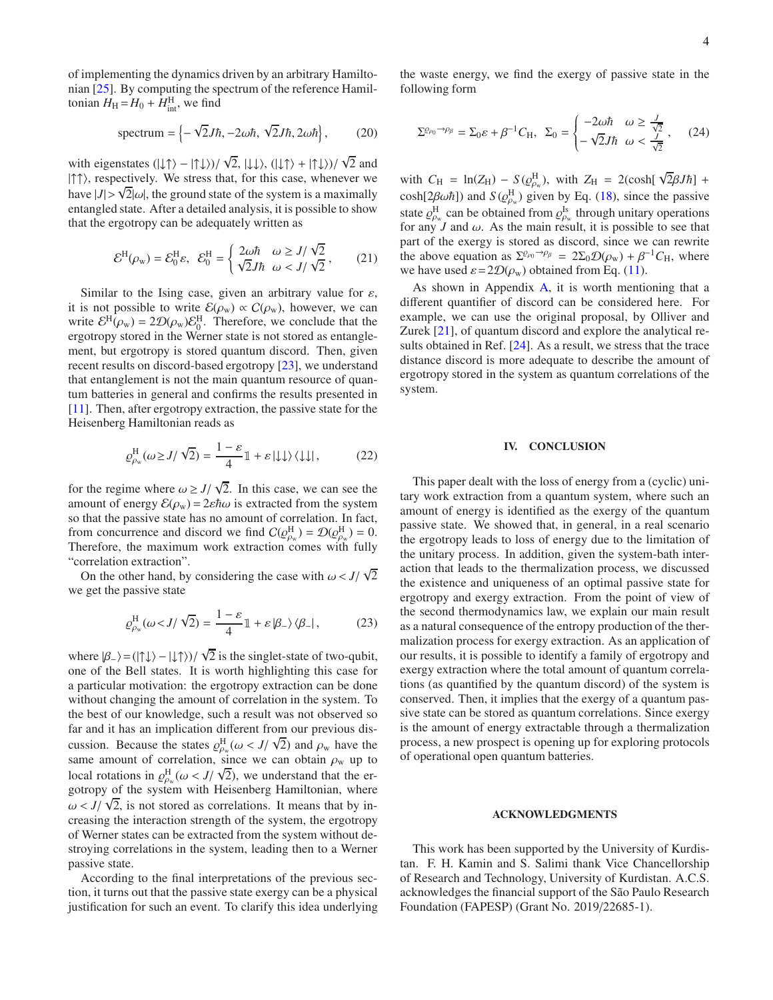of implementing the dynamics driven by an arbitrary Hamiltonian [\[25\]](#page-4-17). By computing the spectrum of the reference Hamiltonian  $H_{\rm H} = H_0 + H_{\rm int}^{\rm H}$ , we find

$$
\text{spectrum} = \left\{-\sqrt{2}J\hbar, -2\omega\hbar, \sqrt{2}J\hbar, 2\omega\hbar\right\},\qquad(20)
$$

with eigenstates  $(|\downarrow \uparrow \rangle - |\uparrow \downarrow \rangle)/\sqrt{2}$ ,  $|\downarrow \downarrow \rangle$ ,  $(|\downarrow \uparrow \rangle + |\uparrow \downarrow \rangle)/\sqrt{2}$  and |↑↑), respectively. We stress that, for this case, whenever we have  $|J| > \sqrt{2} |\omega|$ , the ground state of the system is a maximally entangled state. After a detailed analysis, it is possible to show that the ergotropy can be adequately written as

$$
\mathcal{E}^{\mathrm{H}}(\rho_{\mathrm{w}}) = \mathcal{E}_{0}^{\mathrm{H}}\varepsilon, \ \ \mathcal{E}_{0}^{\mathrm{H}} = \begin{cases} 2\omega\hbar & \omega \ge J/\sqrt{2} \\ \sqrt{2}J\hbar & \omega < J/\sqrt{2} \end{cases},\tag{21}
$$

Similar to the Ising case, given an arbitrary value for  $\varepsilon$ , it is not possible to write  $\mathcal{E}(\rho_w) \propto C(\rho_w)$ , however, we can write  $\mathcal{E}^H(\rho_w) = 2\mathcal{D}(\rho_w)\mathcal{E}_0^H$ . Therefore, we conclude that the ergotropy stored in the Werner state is not stored as entanglement, but ergotropy is stored quantum discord. Then, given recent results on discord-based ergotropy [\[23](#page-4-14)], we understand that entanglement is not the main quantum resource of quantum batteries in general and confirms the results presented in [\[11](#page-4-18)]. Then, after ergotropy extraction, the passive state for the Heisenberg Hamiltonian reads as

$$
\varrho_{\rho_{\rm w}}^{\rm H}(\omega \ge J/\sqrt{2}) = \frac{1-\varepsilon}{4} \mathbb{1} + \varepsilon |\!\downarrow\downarrow\rangle \langle\downarrow\downarrow| \,, \tag{22}
$$

for the regime where  $\omega \geq J/\sqrt{2}$ . In this case, we can see the amount of energy  $\mathcal{E}(\rho_w) = 2\varepsilon\hbar\omega$  is extracted from the system so that the passive state has no amount of correlation. In fact, from concurrence and discord we find  $C(Q_{\rho_w}^H) = \mathcal{D}(Q_{\rho_w}^H) = 0$ . Therefore, the maximum work extraction comes with fully "correlation extraction".

On the other hand, by considering the case with  $\omega < J/\sqrt{2}$ we get the passive state

$$
\varrho_{\rho_{\rm w}}^{\rm H}(\omega < J/\sqrt{2}) = \frac{1-\varepsilon}{4} \mathbb{1} + \varepsilon \left| \beta_{-} \right\rangle \left\langle \beta_{-} \right|, \tag{23}
$$

where  $|\beta_-\rangle = (|\uparrow\downarrow\rangle - |\downarrow\uparrow\rangle)/\sqrt{2}$  is the singlet-state of two-qubit, one of the Bell states. It is worth highlighting this case for a particular motivation: the ergotropy extraction can be done without changing the amount of correlation in the system. To the best of our knowledge, such a result was not observed so far and it has an implication different from our previous discussion. Because the states  $\varrho_{\rho_w}^H(\omega < J/\sqrt{2})$  and  $\rho_w$  have the same amount of correlation, since we can obtain  $\rho_w$  up to local rotations in  $\varrho_{\rho_w}^H(\omega < J/\sqrt{2})$ , we understand that the ergotropy of the system with Heisenberg Hamiltonian, where  $\omega < J/\sqrt{2}$ , is not stored as correlations. It means that by increasing the interaction strength of the system, the ergotropy of Werner states can be extracted from the system without destroying correlations in the system, leading then to a Werner passive state.

According to the final interpretations of the previous section, it turns out that the passive state exergy can be a physical justification for such an event. To clarify this idea underlying the waste energy, we find the exergy of passive state in the following form

$$
\Sigma^{\varrho_{\rho_0}\to\rho_{\beta}} = \Sigma_0 \varepsilon + \beta^{-1} C_H, \quad \Sigma_0 = \begin{cases} -2\omega\hbar & \omega \ge \frac{J}{\sqrt{2}} \\ -\sqrt{2}J\hbar & \omega < \frac{J}{\sqrt{2}} \end{cases}, \tag{24}
$$

with  $C_{\text{H}} = \ln(Z_{\text{H}}) - S(\varrho_{\text{p}_{\text{w}}}^{\text{H}})$ , with  $Z_{\text{H}} = 2(\cosh[\sqrt{2\beta}J\hbar] +$  $cosh[2\beta\omega\hbar]$ ) and  $S(\varrho_{\rho_w}^H)$  given by Eq. [\(18\)](#page-2-3), since the passive state  $\rho_{\rho_w}^H$  can be obtained from  $\rho_{\rho_w}^{Is}$  through unitary operations for any  $J$  and  $\omega$ . As the main result, it is possible to see that part of the exergy is stored as discord, since we can rewrite the above equation as  $\Sigma^{\rho_{p_0}\to\rho_{\beta}} = 2\Sigma_0 \mathcal{D}(\rho_w) + \beta^{-1}C_H$ , where we have used  $\varepsilon = 2\mathcal{D}(\rho_w)$  obtained from Eq. [\(11\)](#page-2-1).

<span id="page-3-0"></span>As shown in Appendix [A,](#page-4-15) it is worth mentioning that a different quantifier of discord can be considered here. For example, we can use the original proposal, by Olliver and Zurek [\[21\]](#page-4-12), of quantum discord and explore the analytical results obtained in Ref. [\[24\]](#page-4-16). As a result, we stress that the trace distance discord is more adequate to describe the amount of ergotropy stored in the system as quantum correlations of the system.

#### IV. CONCLUSION

This paper dealt with the loss of energy from a (cyclic) unitary work extraction from a quantum system, where such an amount of energy is identified as the exergy of the quantum passive state. We showed that, in general, in a real scenario the ergotropy leads to loss of energy due to the limitation of the unitary process. In addition, given the system-bath interaction that leads to the thermalization process, we discussed the existence and uniqueness of an optimal passive state for ergotropy and exergy extraction. From the point of view of the second thermodynamics law, we explain our main result as a natural consequence of the entropy production of the thermalization process for exergy extraction. As an application of our results, it is possible to identify a family of ergotropy and exergy extraction where the total amount of quantum correlations (as quantified by the quantum discord) of the system is conserved. Then, it implies that the exergy of a quantum passive state can be stored as quantum correlations. Since exergy is the amount of energy extractable through a thermalization process, a new prospect is opening up for exploring protocols of operational open quantum batteries.

# ACKNOWLEDGMENTS

This work has been supported by the University of Kurdistan. F. H. Kamin and S. Salimi thank Vice Chancellorship of Research and Technology, University of Kurdistan. A.C.S. acknowledges the financial support of the S˜ao Paulo Research Foundation (FAPESP) (Grant No. 2019/22685-1).